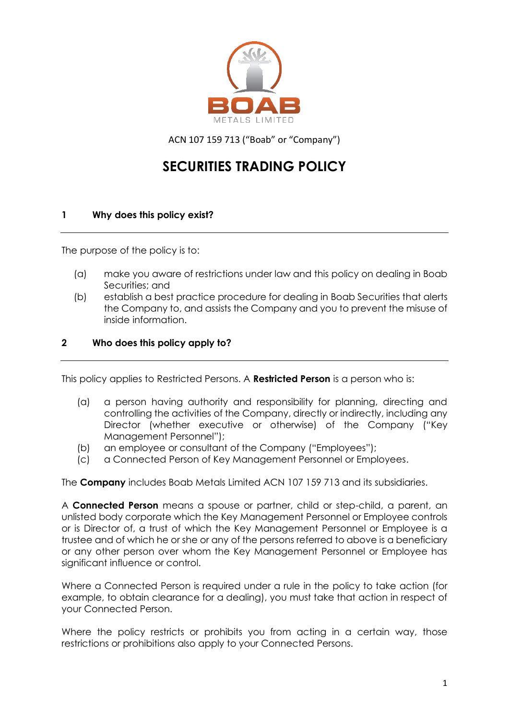

ACN 107 159 713 ("Boab" or "Company")

# **SECURITIES TRADING POLICY**

# **1 Why does this policy exist?**

The purpose of the policy is to:

- (a) make you aware of restrictions under law and this policy on dealing in Boab Securities; and
- (b) establish a best practice procedure for dealing in Boab Securities that alerts the Company to, and assists the Company and you to prevent the misuse of inside information.

#### **2 Who does this policy apply to?**

This policy applies to Restricted Persons. A **Restricted Person** is a person who is:

- (a) a person having authority and responsibility for planning, directing and controlling the activities of the Company, directly or indirectly, including any Director (whether executive or otherwise) of the Company ("Key Management Personnel");
- (b) an employee or consultant of the Company ("Employees");
- (c) a Connected Person of Key Management Personnel or Employees.

The **Company** includes Boab Metals Limited ACN 107 159 713 and its subsidiaries.

A **Connected Person** means a spouse or partner, child or step-child, a parent, an unlisted body corporate which the Key Management Personnel or Employee controls or is Director of, a trust of which the Key Management Personnel or Employee is a trustee and of which he or she or any of the persons referred to above is a beneficiary or any other person over whom the Key Management Personnel or Employee has significant influence or control.

Where a Connected Person is required under a rule in the policy to take action (for example, to obtain clearance for a dealing), you must take that action in respect of your Connected Person.

Where the policy restricts or prohibits you from acting in a certain way, those restrictions or prohibitions also apply to your Connected Persons.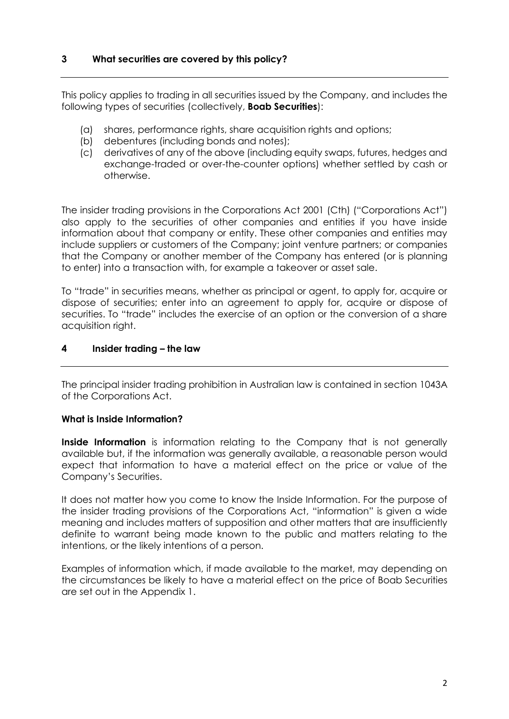This policy applies to trading in all securities issued by the Company, and includes the following types of securities (collectively, **Boab Securities**):

- (a) shares, performance rights, share acquisition rights and options;
- (b) debentures (including bonds and notes);
- (c) derivatives of any of the above (including equity swaps, futures, hedges and exchange-traded or over-the-counter options) whether settled by cash or otherwise.

The insider trading provisions in the Corporations Act 2001 (Cth) ("Corporations Act") also apply to the securities of other companies and entities if you have inside information about that company or entity. These other companies and entities may include suppliers or customers of the Company; joint venture partners; or companies that the Company or another member of the Company has entered (or is planning to enter) into a transaction with, for example a takeover or asset sale.

To "trade" in securities means, whether as principal or agent, to apply for, acquire or dispose of securities; enter into an agreement to apply for, acquire or dispose of securities. To "trade" includes the exercise of an option or the conversion of a share acquisition right.

# **4 Insider trading – the law**

The principal insider trading prohibition in Australian law is contained in section 1043A of the Corporations Act.

#### **What is Inside Information?**

**Inside Information** is information relating to the Company that is not generally available but, if the information was generally available, a reasonable person would expect that information to have a material effect on the price or value of the Company's Securities.

It does not matter how you come to know the Inside Information. For the purpose of the insider trading provisions of the Corporations Act, "information" is given a wide meaning and includes matters of supposition and other matters that are insufficiently definite to warrant being made known to the public and matters relating to the intentions, or the likely intentions of a person.

Examples of information which, if made available to the market, may depending on the circumstances be likely to have a material effect on the price of Boab Securities are set out in the Appendix 1.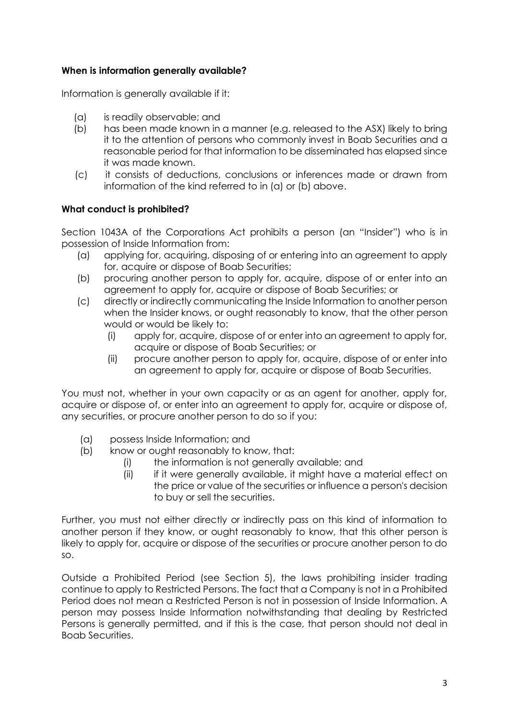# **When is information generally available?**

Information is generally available if it:

- (a) is readily observable; and
- (b) has been made known in a manner (e.g. released to the ASX) likely to bring it to the attention of persons who commonly invest in Boab Securities and a reasonable period for that information to be disseminated has elapsed since it was made known.
- (c) it consists of deductions, conclusions or inferences made or drawn from information of the kind referred to in (a) or (b) above.

# **What conduct is prohibited?**

Section 1043A of the Corporations Act prohibits a person (an "Insider") who is in possession of Inside Information from:

- (a) applying for, acquiring, disposing of or entering into an agreement to apply for, acquire or dispose of Boab Securities;
- (b) procuring another person to apply for, acquire, dispose of or enter into an agreement to apply for, acquire or dispose of Boab Securities; or
- (c) directly or indirectly communicating the Inside Information to another person when the Insider knows, or ought reasonably to know, that the other person would or would be likely to:
	- (i) apply for, acquire, dispose of or enter into an agreement to apply for, acquire or dispose of Boab Securities; or
	- (ii) procure another person to apply for, acquire, dispose of or enter into an agreement to apply for, acquire or dispose of Boab Securities.

You must not, whether in your own capacity or as an agent for another, apply for, acquire or dispose of, or enter into an agreement to apply for, acquire or dispose of, any securities, or procure another person to do so if you:

- (a) possess Inside Information; and
- (b) know or ought reasonably to know, that:
	- (i) the information is not generally available; and
	- (ii) if it were generally available, it might have a material effect on the price or value of the securities or influence a person's decision to buy or sell the securities.

Further, you must not either directly or indirectly pass on this kind of information to another person if they know, or ought reasonably to know, that this other person is likely to apply for, acquire or dispose of the securities or procure another person to do so.

Outside a Prohibited Period (see Section 5), the laws prohibiting insider trading continue to apply to Restricted Persons. The fact that a Company is not in a Prohibited Period does not mean a Restricted Person is not in possession of Inside Information. A person may possess Inside Information notwithstanding that dealing by Restricted Persons is generally permitted, and if this is the case, that person should not deal in Boab Securities.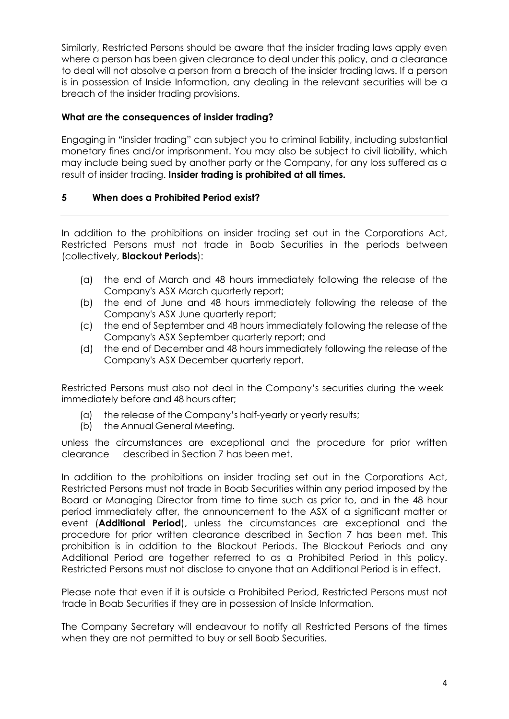Similarly, Restricted Persons should be aware that the insider trading laws apply even where a person has been given clearance to deal under this policy, and a clearance to deal will not absolve a person from a breach of the insider trading laws. If a person is in possession of Inside Information, any dealing in the relevant securities will be a breach of the insider trading provisions.

# **What are the consequences of insider trading?**

Engaging in "insider trading" can subject you to criminal liability, including substantial monetary fines and/or imprisonment. You may also be subject to civil liability, which may include being sued by another party or the Company, for any loss suffered as a result of insider trading. **Insider trading is prohibited at all times.**

# **5 When does a Prohibited Period exist?**

In addition to the prohibitions on insider trading set out in the Corporations Act, Restricted Persons must not trade in Boab Securities in the periods between (collectively, **Blackout Periods**):

- (a) the end of March and 48 hours immediately following the release of the Company's ASX March quarterly report;
- (b) the end of June and 48 hours immediately following the release of the Company's ASX June quarterly report;
- (c) the end of September and 48 hours immediately following the release of the Company's ASX September quarterly report; and
- (d) the end of December and 48 hours immediately following the release of the Company's ASX December quarterly report.

Restricted Persons must also not deal in the Company's securities during the week immediately before and 48 hours after;

- (a) the release of the Company's half-yearly or yearly results;
- (b) the Annual General Meeting.

unless the circumstances are exceptional and the procedure for prior written clearance described in Section 7 has been met.

In addition to the prohibitions on insider trading set out in the Corporations Act, Restricted Persons must not trade in Boab Securities within any period imposed by the Board or Managing Director from time to time such as prior to, and in the 48 hour period immediately after, the announcement to the ASX of a significant matter or event (**Additional Period**), unless the circumstances are exceptional and the procedure for prior written clearance described in Section 7 has been met. This prohibition is in addition to the Blackout Periods. The Blackout Periods and any Additional Period are together referred to as a Prohibited Period in this policy. Restricted Persons must not disclose to anyone that an Additional Period is in effect.

Please note that even if it is outside a Prohibited Period, Restricted Persons must not trade in Boab Securities if they are in possession of Inside Information.

The Company Secretary will endeavour to notify all Restricted Persons of the times when they are not permitted to buy or sell Boab Securities.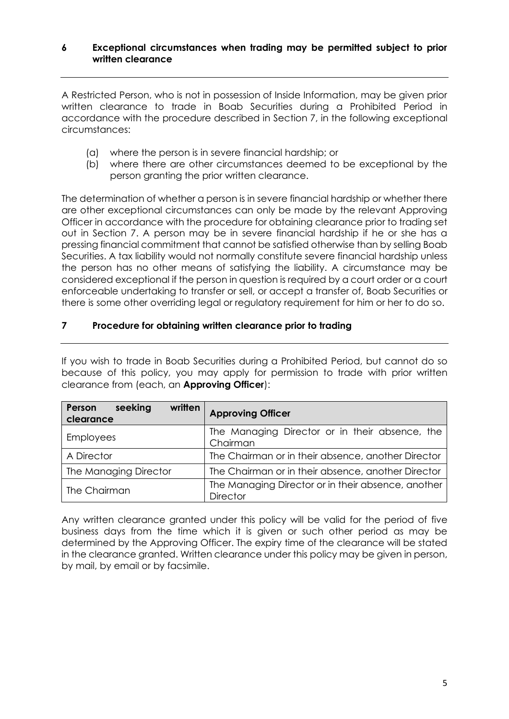#### **6 Exceptional circumstances when trading may be permitted subject to prior written clearance**

A Restricted Person, who is not in possession of Inside Information, may be given prior written clearance to trade in Boab Securities during a Prohibited Period in accordance with the procedure described in Section 7, in the following exceptional circumstances:

- (a) where the person is in severe financial hardship; or
- (b) where there are other circumstances deemed to be exceptional by the person granting the prior written clearance.

The determination of whether a person is in severe financial hardship or whether there are other exceptional circumstances can only be made by the relevant Approving Officer in accordance with the procedure for obtaining clearance prior to trading set out in Section 7. A person may be in severe financial hardship if he or she has a pressing financial commitment that cannot be satisfied otherwise than by selling Boab Securities. A tax liability would not normally constitute severe financial hardship unless the person has no other means of satisfying the liability. A circumstance may be considered exceptional if the person in question is required by a court order or a court enforceable undertaking to transfer or sell, or accept a transfer of, Boab Securities or there is some other overriding legal or regulatory requirement for him or her to do so.

# **7 Procedure for obtaining written clearance prior to trading**

If you wish to trade in Boab Securities during a Prohibited Period, but cannot do so because of this policy, you may apply for permission to trade with prior written clearance from (each, an **Approving Officer**):

| written<br>Person<br>seeking<br>clearance                                   | <b>Approving Officer</b>                                              |
|-----------------------------------------------------------------------------|-----------------------------------------------------------------------|
| <b>Employees</b>                                                            | The Managing Director or in their absence, the<br>Chairman            |
| A Director                                                                  | The Chairman or in their absence, another Director                    |
| The Managing Director<br>The Chairman or in their absence, another Director |                                                                       |
| The Chairman                                                                | The Managing Director or in their absence, another<br><b>Director</b> |

Any written clearance granted under this policy will be valid for the period of five business days from the time which it is given or such other period as may be determined by the Approving Officer. The expiry time of the clearance will be stated in the clearance granted. Written clearance under this policy may be given in person, by mail, by email or by facsimile.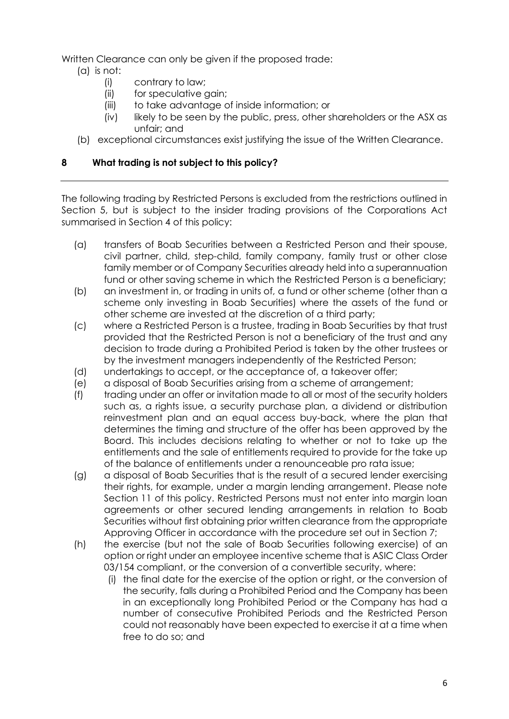Written Clearance can only be given if the proposed trade:

- (a) is not:
	- (i) contrary to law;
	- (ii) for speculative gain;
	- (iii) to take advantage of inside information; or
	- (iv) likely to be seen by the public, press, other shareholders or the ASX as unfair; and
- (b) exceptional circumstances exist justifying the issue of the Written Clearance.

# **8 What trading is not subject to this policy?**

The following trading by Restricted Persons is excluded from the restrictions outlined in Section 5, but is subject to the insider trading provisions of the Corporations Act summarised in Section 4 of this policy:

- (a) transfers of Boab Securities between a Restricted Person and their spouse, civil partner, child, step-child, family company, family trust or other close family member or of Company Securities already held into a superannuation fund or other saving scheme in which the Restricted Person is a beneficiary;
- (b) an investment in, or trading in units of, a fund or other scheme (other than a scheme only investing in Boab Securities) where the assets of the fund or other scheme are invested at the discretion of a third party;
- (c) where a Restricted Person is a trustee, trading in Boab Securities by that trust provided that the Restricted Person is not a beneficiary of the trust and any decision to trade during a Prohibited Period is taken by the other trustees or by the investment managers independently of the Restricted Person;
- (d) undertakings to accept, or the acceptance of, a takeover offer;
- (e) a disposal of Boab Securities arising from a scheme of arrangement;
- (f) trading under an offer or invitation made to all or most of the security holders such as, a rights issue, a security purchase plan, a dividend or distribution reinvestment plan and an equal access buy-back, where the plan that determines the timing and structure of the offer has been approved by the Board. This includes decisions relating to whether or not to take up the entitlements and the sale of entitlements required to provide for the take up of the balance of entitlements under a renounceable pro rata issue;
- (g) a disposal of Boab Securities that is the result of a secured lender exercising their rights, for example, under a margin lending arrangement. Please note Section 11 of this policy. Restricted Persons must not enter into margin loan agreements or other secured lending arrangements in relation to Boab Securities without first obtaining prior written clearance from the appropriate Approving Officer in accordance with the procedure set out in Section 7;
- (h) the exercise (but not the sale of Boab Securities following exercise) of an option or right under an employee incentive scheme that is ASIC Class Order 03/154 compliant, or the conversion of a convertible security, where:
	- (i) the final date for the exercise of the option or right, or the conversion of the security, falls during a Prohibited Period and the Company has been in an exceptionally long Prohibited Period or the Company has had a number of consecutive Prohibited Periods and the Restricted Person could not reasonably have been expected to exercise it at a time when free to do so; and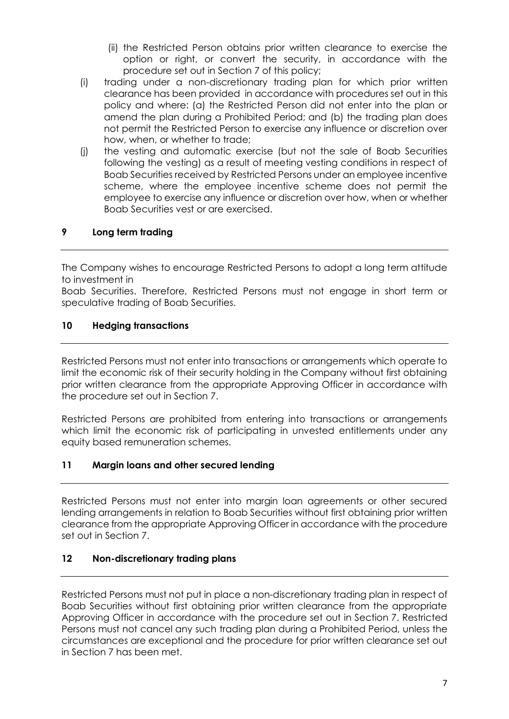- (ii) the Restricted Person obtains prior written clearance to exercise the option or right, or convert the security, in accordance with the procedure set out in Section 7 of this policy;
- (i) trading under a non-discretionary trading plan for which prior written clearance has been provided in accordance with procedures set out in this policy and where: (a) the Restricted Person did not enter into the plan or amend the plan during a Prohibited Period; and (b) the trading plan does not permit the Restricted Person to exercise any influence or discretion over how, when, or whether to trade;
- (j) the vesting and automatic exercise (but not the sale of Boab Securities following the vesting) as a result of meeting vesting conditions in respect of Boab Securities received by Restricted Persons under an employee incentive scheme, where the employee incentive scheme does not permit the employee to exercise any influence or discretion over how, when or whether Boab Securities vest or are exercised.

# **9 Long term trading**

The Company wishes to encourage Restricted Persons to adopt a long term attitude to investment in

Boab Securities. Therefore, Restricted Persons must not engage in short term or speculative trading of Boab Securities.

#### **10 Hedging transactions**

Restricted Persons must not enter into transactions or arrangements which operate to limit the economic risk of their security holding in the Company without first obtaining prior written clearance from the appropriate Approving Officer in accordance with the procedure set out in Section 7.

Restricted Persons are prohibited from entering into transactions or arrangements which limit the economic risk of participating in unvested entitlements under any equity based remuneration schemes.

#### **11 Margin loans and other secured lending**

Restricted Persons must not enter into margin loan agreements or other secured lending arrangements in relation to Boab Securities without first obtaining prior written clearance from the appropriate Approving Officer in accordance with the procedure set out in Section 7.

#### **12 Non-discretionary trading plans**

Restricted Persons must not put in place a non-discretionary trading plan in respect of Boab Securities without first obtaining prior written clearance from the appropriate Approving Officer in accordance with the procedure set out in Section 7. Restricted Persons must not cancel any such trading plan during a Prohibited Period, unless the circumstances are exceptional and the procedure for prior written clearance set out in Section 7 has been met.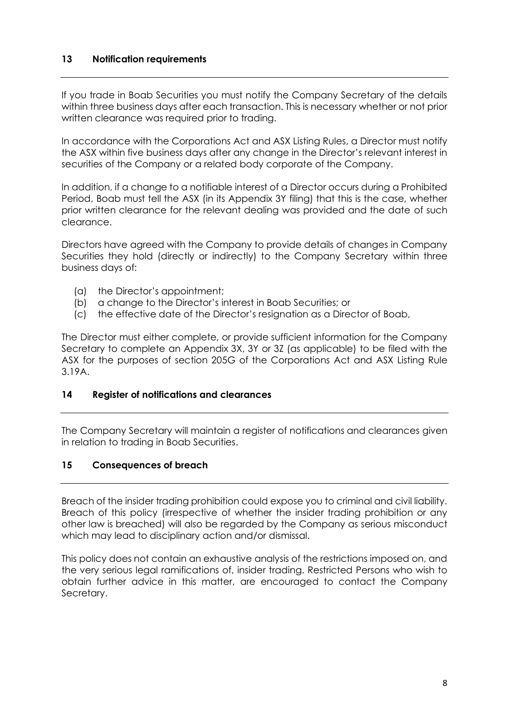#### **13 Notification requirements**

If you trade in Boab Securities you must notify the Company Secretary of the details within three business days after each transaction. This is necessary whether or not prior written clearance was required prior to trading.

In accordance with the Corporations Act and ASX Listing Rules, a Director must notify the ASX within five business days after any change in the Director's relevant interest in securities of the Company or a related body corporate of the Company.

In addition, if a change to a notifiable interest of a Director occurs during a Prohibited Period, Boab must tell the ASX (in its Appendix 3Y filing) that this is the case, whether prior written clearance for the relevant dealing was provided and the date of such clearance.

Directors have agreed with the Company to provide details of changes in Company Securities they hold (directly or indirectly) to the Company Secretary within three business days of:

- (a) the Director's appointment;
- (b) a change to the Director's interest in Boab Securities; or
- (c) the effective date of the Director's resignation as a Director of Boab,

The Director must either complete, or provide sufficient information for the Company Secretary to complete an Appendix 3X, 3Y or 3Z (as applicable) to be filed with the ASX for the purposes of section 205G of the Corporations Act and ASX Listing Rule 3.19A.

#### **14 Register of notifications and clearances**

The Company Secretary will maintain a register of notifications and clearances given in relation to trading in Boab Securities.

#### **15 Consequences of breach**

Breach of the insider trading prohibition could expose you to criminal and civil liability. Breach of this policy (irrespective of whether the insider trading prohibition or any other law is breached) will also be regarded by the Company as serious misconduct which may lead to disciplinary action and/or dismissal.

This policy does not contain an exhaustive analysis of the restrictions imposed on, and the very serious legal ramifications of, insider trading. Restricted Persons who wish to obtain further advice in this matter, are encouraged to contact the Company Secretary.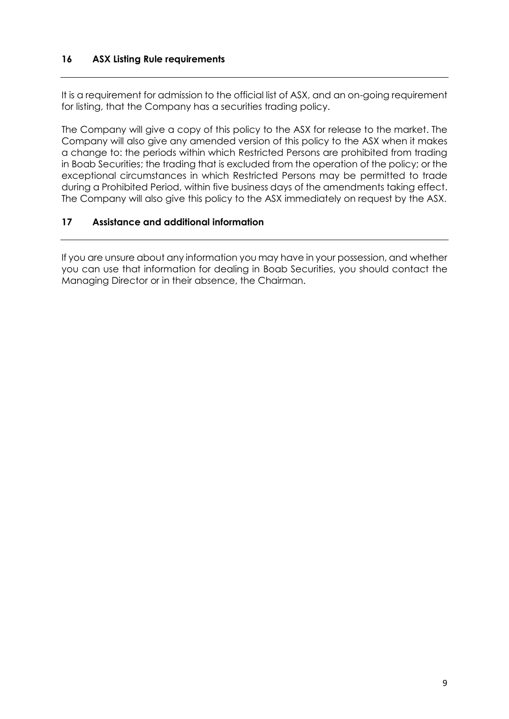# **16 ASX Listing Rule requirements**

It is a requirement for admission to the official list of ASX, and an on-going requirement for listing, that the Company has a securities trading policy.

The Company will give a copy of this policy to the ASX for release to the market. The Company will also give any amended version of this policy to the ASX when it makes a change to: the periods within which Restricted Persons are prohibited from trading in Boab Securities; the trading that is excluded from the operation of the policy; or the exceptional circumstances in which Restricted Persons may be permitted to trade during a Prohibited Period, within five business days of the amendments taking effect. The Company will also give this policy to the ASX immediately on request by the ASX.

# **17 Assistance and additional information**

If you are unsure about any information you may have in your possession, and whether you can use that information for dealing in Boab Securities, you should contact the Managing Director or in their absence, the Chairman.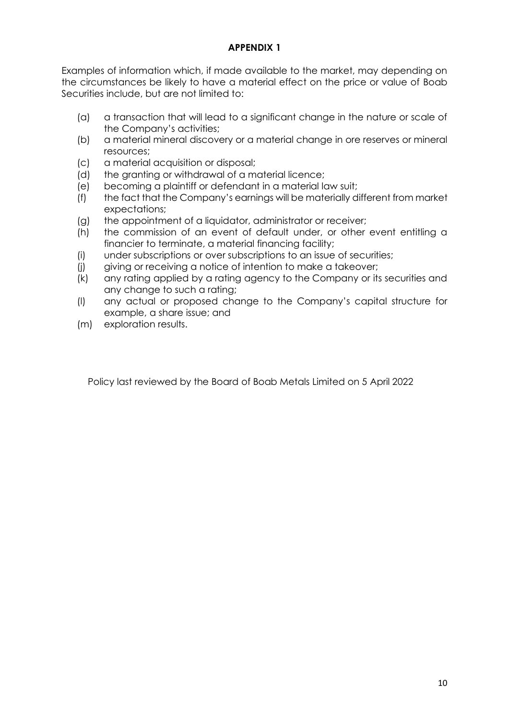# **APPENDIX 1**

Examples of information which, if made available to the market, may depending on the circumstances be likely to have a material effect on the price or value of Boab Securities include, but are not limited to:

- (a) a transaction that will lead to a significant change in the nature or scale of the Company's activities;
- (b) a material mineral discovery or a material change in ore reserves or mineral resources;
- (c) a material acquisition or disposal;
- (d) the granting or withdrawal of a material licence;
- (e) becoming a plaintiff or defendant in a material law suit;
- (f) the fact that the Company's earnings will be materially different from market expectations;
- (g) the appointment of a liquidator, administrator or receiver;
- (h) the commission of an event of default under, or other event entitling a financier to terminate, a material financing facility;
- (i) under subscriptions or over subscriptions to an issue of securities;
- (j) giving or receiving a notice of intention to make a takeover;
- (k) any rating applied by a rating agency to the Company or its securities and any change to such a rating;
- (l) any actual or proposed change to the Company's capital structure for example, a share issue; and
- (m) exploration results.

Policy last reviewed by the Board of Boab Metals Limited on 5 April 2022